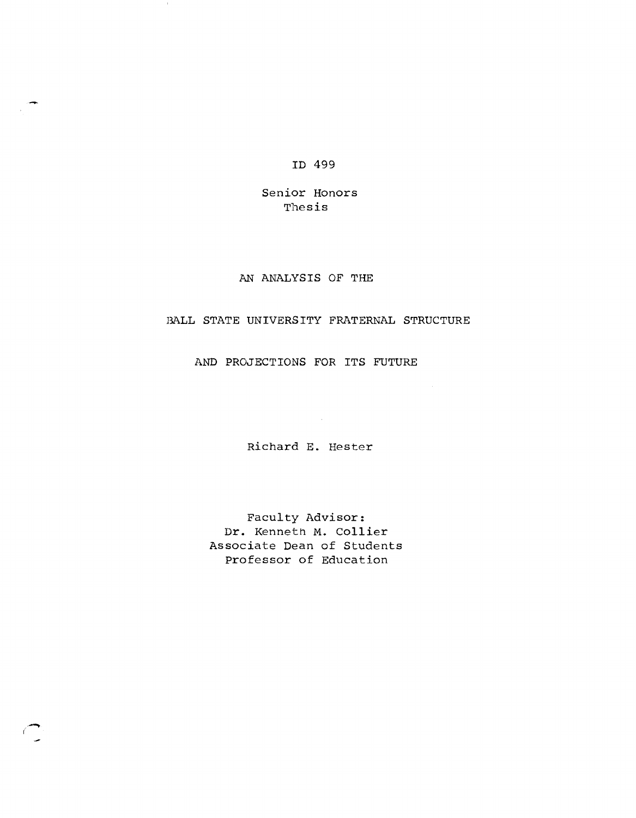ID 499

Senior Honors Thesis

## AN ANALYSIS OF THE

## BALL STATE UNIVERSITY FRATERNAL STRUCTURE

AND PROJECTIONS FOR ITS FUTURE

Richard E. Hester

 $\mathcal{L}^{\text{max}}_{\text{max}}$  ,  $\mathcal{L}^{\text{max}}_{\text{max}}$ 

Faculty Advisor: Dr. Kenneth M. Collier Associate Dean of Students Professor of Education

.-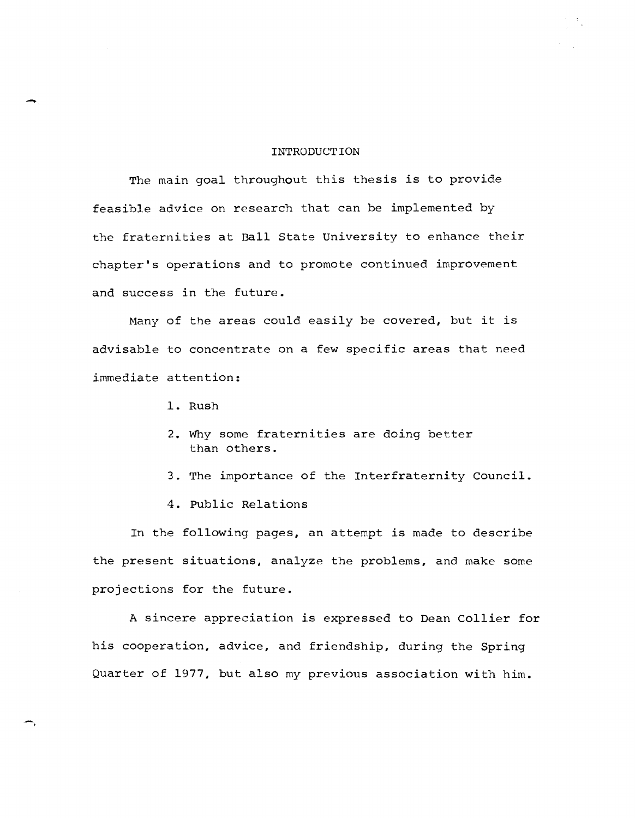## INTRODUCTION

The main goal throughout this thesis is to provide feasible advice on research that can be implemented by the fraternities at Ball State University to enhance their chapter's operations and to promote continued improvement and success in the future.

Many of the areas could easily be covered, but it is advisable to concentrate on a few specific areas that need immediate attention:

1. Rush

-

-,

- 2. Why some fraternities are doing better than others.
- 3. The importance of the Interfraternity Council.
- 4. Public Relations

In the following pages, an attempt is made to describe the present situations, analyze the problems, and make some projections for the future.

A sincere appreciation is expressed to Dean Collier for his cooperation, advice, and friendship, during the Spring Quarter of 1977, but also my previous association with him.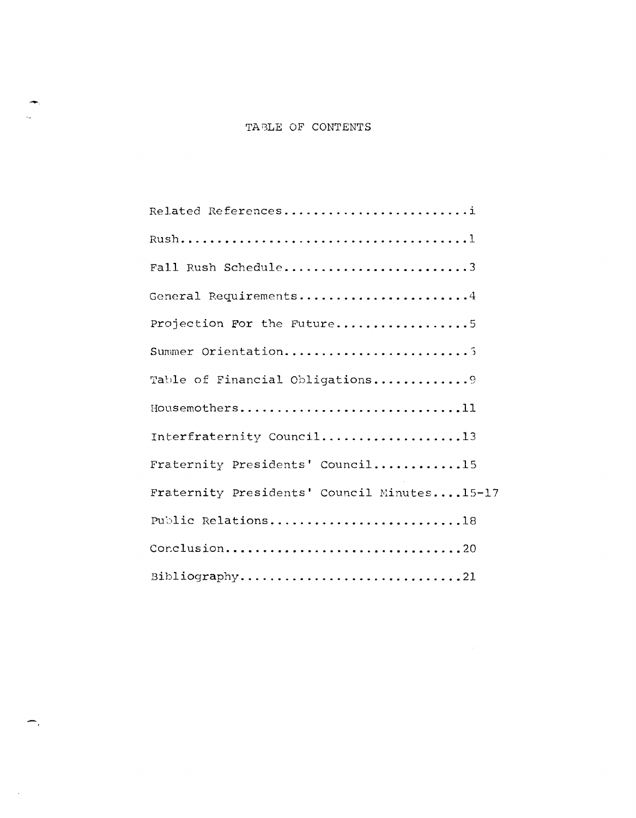| Related References                          |
|---------------------------------------------|
|                                             |
| Fall Rush Schedule3                         |
| General Requirements4                       |
| Projection For the Future5                  |
| Summer Orientation                          |
| Table of Financial Obligations9             |
| Housemothers11                              |
| Interfraternity Council13                   |
| Fraternity Presidents' Council15            |
| Fraternity Presidents' Council Minutes15-17 |
| Public Relations18                          |
| Conclusion20                                |
| Bibliography21                              |

-

 $\mathcal{A}$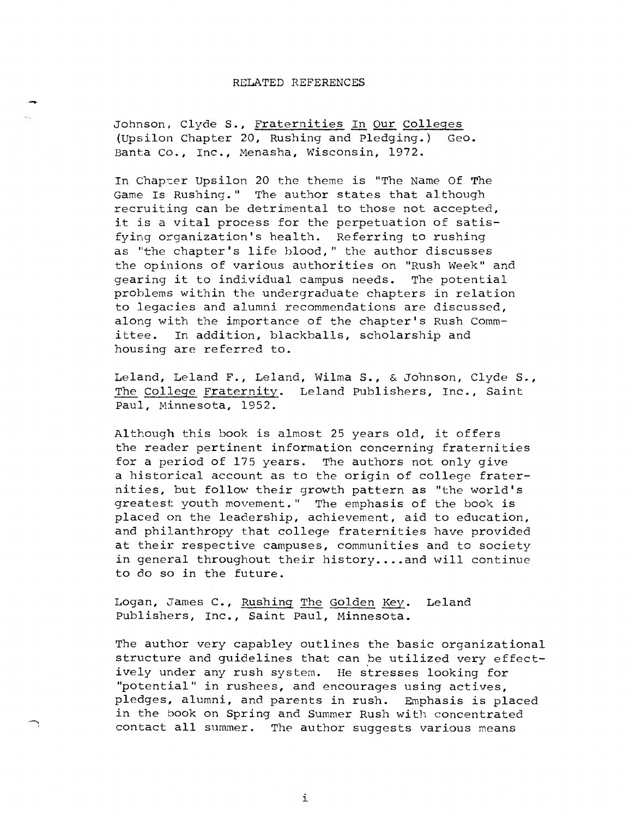#### RELATED REFERENCES

-..

Johnson, Clyde **S.,** Fraternities In Our Colleges (Upsilon Chapter 20, Rushing and Pledging.) Geo. Banta Co., Inc., Menasha, Wisconsin, 1972.

In Chapter Upsilon 20 the theme is "The Name Of The Game Is Rushing." The author states that although recruiting can be detrimental to those not accepted, it is a vital process for the perpetuation of satisfying organization's health. Referring to rushing as "the chapter's life hlood," the author discusses the opinions of various authorities on "Rush Week" and gearing it to individual campus needs. The potential problems within the undergraduate chapters in relation to legacies and alumni recommendations are discussed, along with the importance of the chapter's Rush Committee. In addition, blackballs, scholarship and housing are referred to.

Leland, Leland F., Leland, Wilma **S.,** & Johnson, Clyde **S.,**  The College Fraternity. Leland Publishers, Inc., Saint paul, Minnesota, 1952.

Although this book is almost 25 years old, it offers the reader pertinent information concerning fraternities for a period of 175 years. The authors not only give a historical account as to the origin of college fraternities, but follow their growth pattern as "the world's greatest youth movement." The emphasis of the book is placed on the leadership, achievement, aid to education, and philanthropy that college fraternities have provided at their respective campuses, communities and to society in general throughout their history....and will continue to do so in the future.

Logan, James C., Rushing The Golden Key. Leland Publishers, Inc., Saint paul, Minnesota.

The author very capabley outlines the basic organizational structure and guidelines that can be utilized very effectively under any rush system. He stresses looking for "potential" in rushees, and encourages using actives, pledges, alumni, and parents in rush. Emphasis is placed in the book on Spring and Summer Rush with concentrated contact all summer. The author suggests various means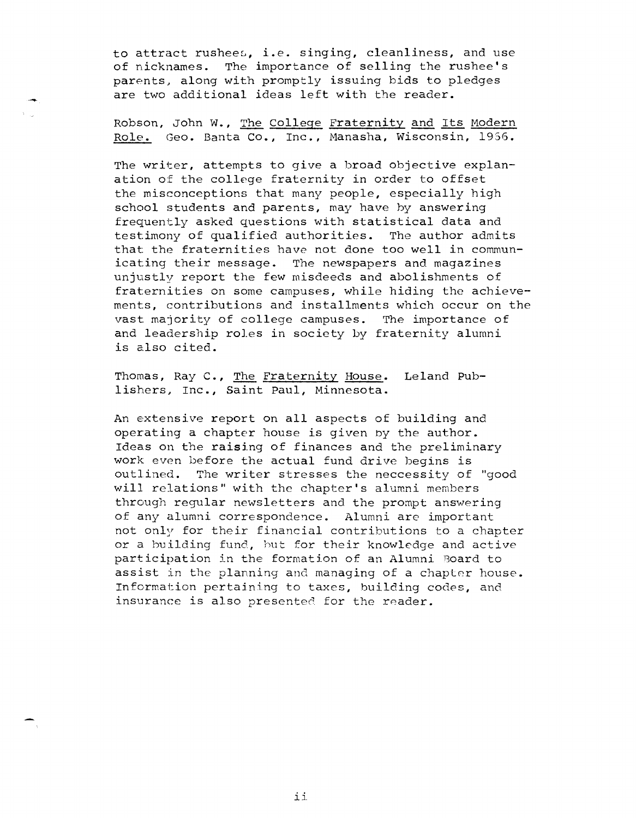to attract rushees, i.e. singing, cleanliness, and use<br>of nicknames. The importance of selling the rushee's The importance of selling the rushee's parents, along with promptly issuing bids to pledges are two additional ideas left with the reader.

Robson, John W., The College Fraternity and Its Modern Role. Geo. Banta Co., Inc., Manasha, Wisconsin, 1956.

The writer, attempts to give a broad objective explanation of the college fraternity in order to offset the misconceptions that many people, especially high school students and parents, may have by answering frequently asked questions with statistical data and<br>testimony of qualified authorities. The author admits testimony of qualified authorities. that the fraternities have not done too well in communicating their message. The newspapers and magazines unjustly report the few misdeeds and abolishments of fraternities on some campuses, while hiding *the* achievements, contributions and installments which occur on the vast majority of college campuses. The importance of and leadership roles in society by fraternity alumni is also cited.

Thomas, Ray C., The Fraternity House. Leland Publishers, Inc., Saint paul, Minnesota.

An extensive report on all aspects of building and operating a chapter house is given by the author. Ideas on the raising of finances and the preliminary work even before the actual fund drive begins is outlined. The writer stresses the neccessity of "good will relations" with the chapter's alumni members through regular newsletters and the prompt answering of any alumni correspondence. Alumni are important not only for their financial contributions to a chapter or a building fund, but for their knowledge and active participation in the formation of an Alumni Board to assist in the planning and managing of a chapter house. Information pertaining to taxes, building codes, and insurance is also presented for the reader.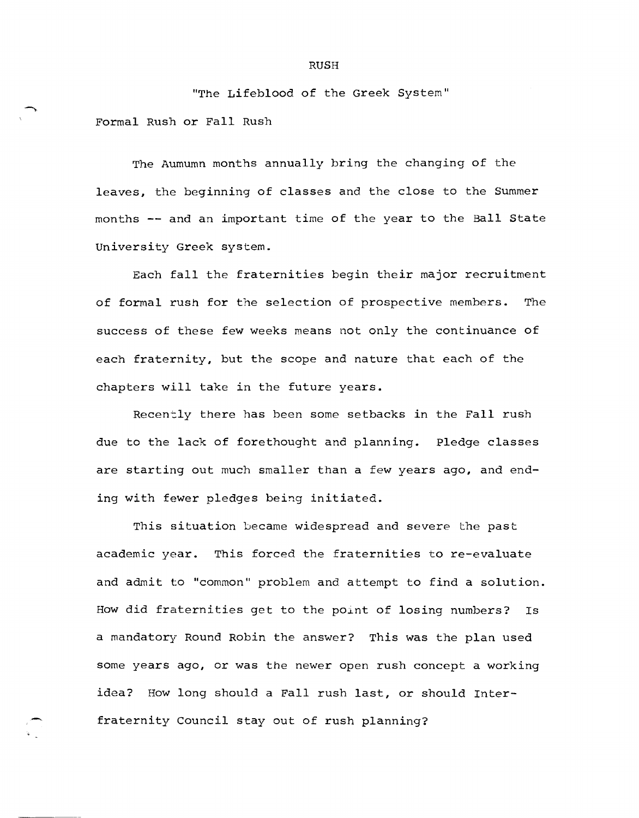"The Lifeblood of the Greek System" Formal Rush or Fall Rush

The Aumumn months annually bring the changing of the leaves, the beginning of classes and the close to the Summer months **--** and an important time of the year to the Ball State University Greek system.

Each fall the fraternities begin their major recruitment of formal rush for the selection of prospective members. The success of these few weeks means not only the continuance of each fraternity, but the scope and nature that each of the chapters will take in the future years.

Recently there has been some setbacks in the Fall rush due to the lack of forethought and planning. Pledge classes are starting out much smaller than a few years ago, and ending with fewer pledges being initiated.

This situation became widespread and severe the past academic year. This forced the fraternities to re-evaluate and admit to "common" problem and attempt to find a solution. How did fraternities get to the point of losing numbers? Is a mandatory Round Robin the answer? This was the plan used some years ago, or was the newer open rush concept a working idea? How long should a Fall rush last, or should Interfraternity Council stay out of rush planning?

#### RUSH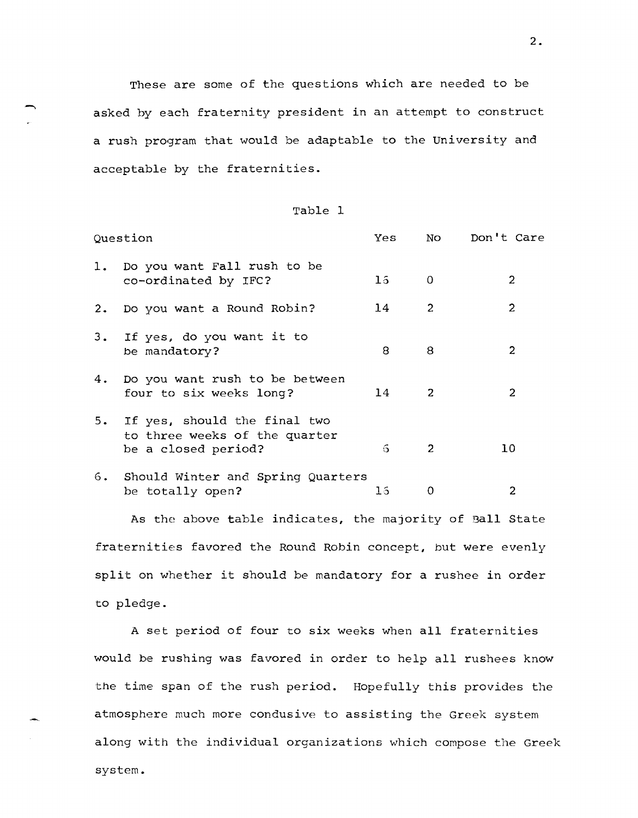These are some of the questions which are needed to be asked by each fraternity president in an attempt to construct a rush program that would be adaptable to the University and acceptable by the fraternities.

| Table |  |
|-------|--|
|-------|--|

|                | Question                                                                             | Yes             | NO           | Don't Care    |
|----------------|--------------------------------------------------------------------------------------|-----------------|--------------|---------------|
| $\mathbf{l}$ . | Do you want Fall rush to be<br>co-ordinated by IFC?                                  | 15 <sub>1</sub> | 0            | 2             |
| 2.             | Do you want a Round Robin?                                                           | 14              | 2            | 2             |
| 3.             | If yes, do you want it to<br>be mandatory?                                           | 8               | 8            | 2             |
| 4.             | Do you want rush to be between<br>four to six weeks long?                            | 14              | 2            | $\mathcal{P}$ |
| 5.             | If yes, should the final two<br>to three weeks of the quarter<br>be a closed period? | 6               | $\mathbf{2}$ | 10            |
|                | 6. Should Winter and Spring Quarters<br>be totally open?                             | Ιá              | 0            | 2             |

As the above table indicates, the majority of Ball State fraternities favored the Round Robin concept, but were evenly split on whether it should be mandatory for a rushee in order to pledge.

A set period of four to six weeks when all fraternities would be rushing was favored in order to help all rushees know the time span of the rush period. Hopefully this provides the atmosphere much more condusive to assisting the Greek system along with the individual organizations which compose the Greek system.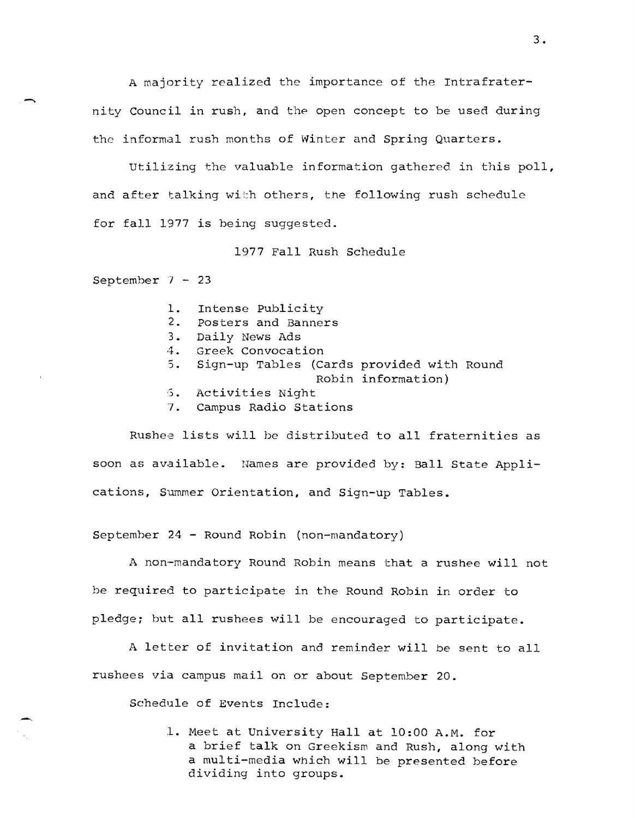A majority realized the importance of the Intrafraternity Council in rush, and the open concept to be used during the informal rush months of Winter and Spring Quarters.

Utilizing the valuable information gathered in this poll, and after talking with others, the following rush schedule for fall 1977 is being suggested.

1977 Fall Rush Schedule

September  $7 - 23$ 

- 1. Intense Publicity
- 2. Posters and Banners
- 3. Daily News Ads
- 4. Greek Convocation
- 5. Sign-up Tables (Cards provided with Round Robin information)
- 5. Activities Night
- 7. Campus Radio Stations

Rushee lists will be distributed to all fraternities as soon as available. names are provided by: Ball State Applications, Summer Orientation, and Sign-up Tables.

September 24 - Round Robin (non-mandatory)

A non-mandatory Round Robin means that a rushee will not be required to participate in the Round Robin in order to pledge; but all rushees will be encouraged to participate.

A letter of invitation and reminder will be sent to all rushees via campus mail on or about September 20.

Schedule of Events Include:

1. Meet at University Hall at 10:00 A.M. for a brief talk on Greekism and Rush, along with a multi-media Which will be presented before dividing into groups.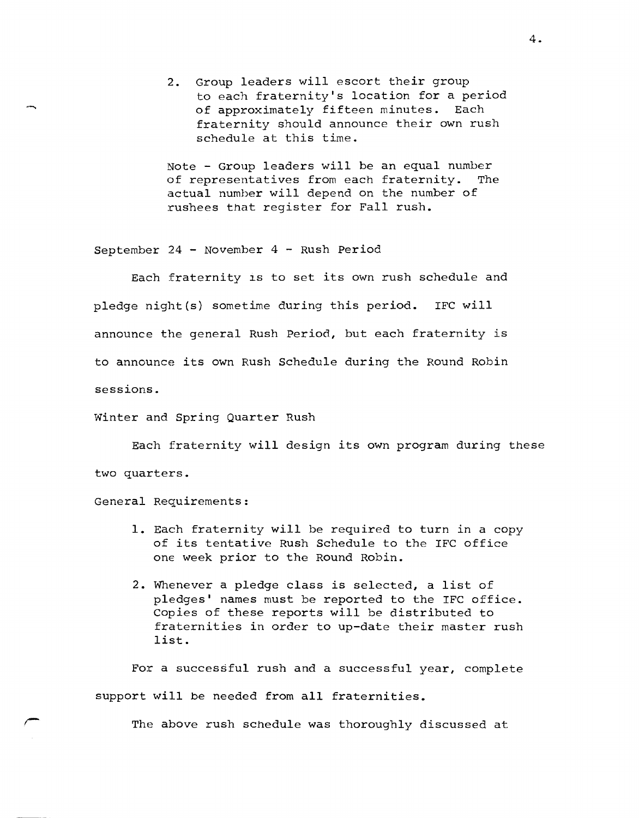2. Group leaders will escort their group to each fraternity's location for a period of approximately fifteen minutes. Each fraternity should announce their own rush schedule at this time.

Note - Group leaders will be an equal number of representatives from each fraternity. The actual number will depend on the number of rushees that register for Fall rush.

September 24 - November 4 - Rush Period

Each fraternity is to set its own rush schedule and pledge night(s} sometime during this period. IFC will announce the general Rush Period, but each fraternity is to announce its own Rush Schedule during the Round Robin sessions.

Winter and Spring Quarter Rush

Each fraternity will design its own program during these two quarters.

General Requirements:

- 1. Each fraternity will be required to turn in a copy of its tentative Rush Schedule to the IFC office one week prior to the Round Robin.
- 2. Whenever a pledge class is selected, a list of pledges' names must be reported to the IFC office. Copies of these reports will be distributed to fraternities in order to up-date their master rush list.

For a successful rush and a successful year, complete support will be needed from all fraternities.

The above rush schedule was thoroughly discussed at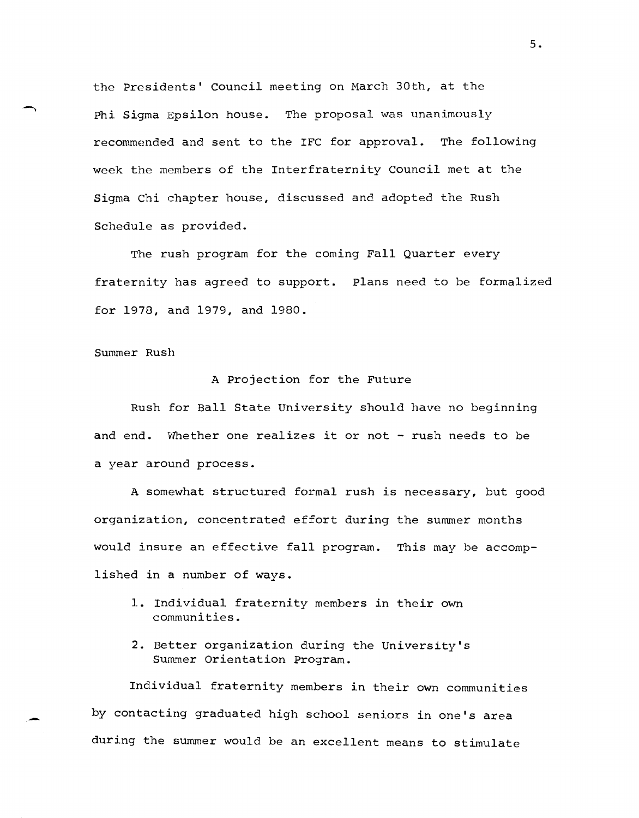the Presidents' Council meeting on March 30th, at the Phi Sigma Epsilon house. The proposal was unanimously recommended and sent to the IFC for approval. The following week the members of the Interfraternity Council met at the Sigma Chi chapter house, discussed and adopted the Rush Schedule as provided.

The rush program for the coming Fall Quarter every fraternity has agreed to support. plans need to be formalized for 1978, and 1979, and 1980.

Summer Rush

### A projection for the Future

Rush for Ball State University should have no beginning and end. Whether one realizes it or not - rush needs to be a year around process.

A somewhat structured formal rush is necessary, but good organization, concentrated effort during the summer months would insure an effective fall program. This may be accomplished in a number of ways.

- 1. Individual fraternity members in their own communities.
- 2. Better organization during the University's Summer Orientation Program.

Individual fraternity members in their own communities by contacting graduated high school seniors in one's area during the summer would be an excellent means to stimulate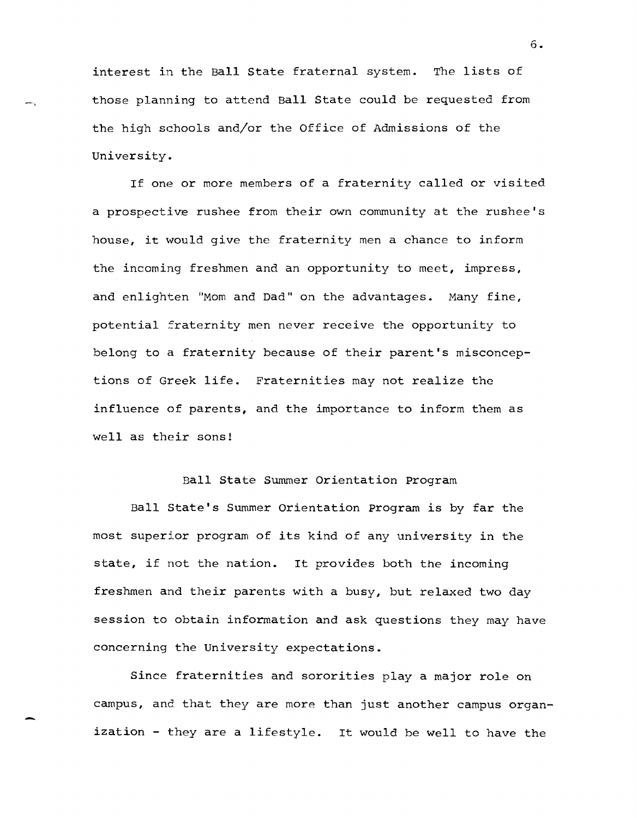interest in the Ball State fraternal system. The lists of those planning to attend Ball State could be requested from the high schools and/or the Office of Admissions of the University.

-,

-

If one or more members of a fraternity called or visited a prospective rushee from their own community at the rushee's house, it would give the fraternity men a chance to inform the incoming freshmen and an opportunity to meet, impress, and enlighten "Mom and Dad" on the advantages. Many fine, potential fraternity men never receive the opportunity to belong to a fraternity because of their parent's misconceptions of Greek life. Fraternities may not realize the influence of parents, and the importance to inform them as well as their sons!

## Ball State Summer Orientation program

Ball State's Summer Orientation program is by far the most superior program of its kind of any university in the state, if not the nation. It provides both the incoming freshmen and their parents with a busy, but relaxed two day session to obtain information and ask questions they may have concerning the University expectations.

Since fraternities and sororities play a major role on campus, and that they are more than just another campus organization - they are a lifestyle. It would be well to have the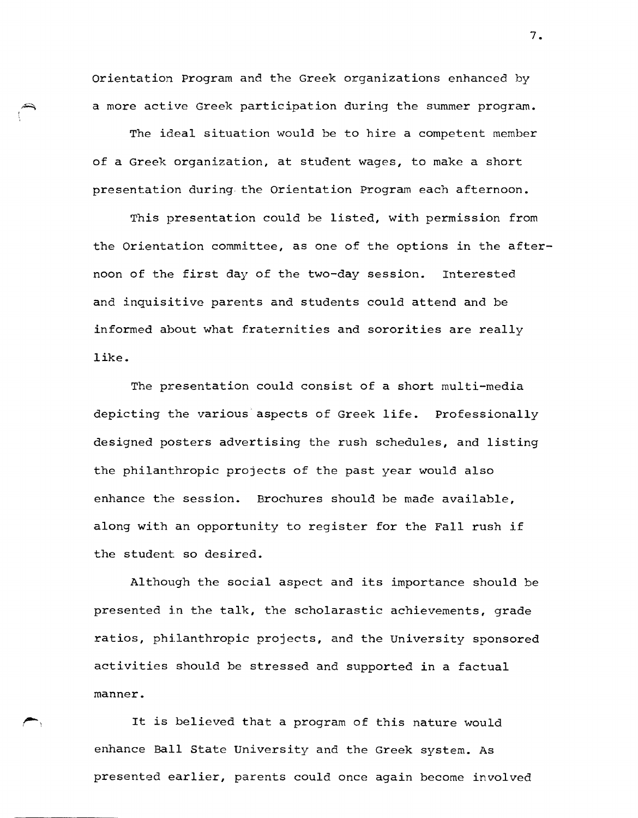orientation Program and the Greek organizations enhanced by a more active Greek participation during the summer program.

The ideal situation would be to hire a competent member of a Greek organization, at student wages, to make a short presentation during the Orientation Program each afternoon.

This presentation could be listed, with permission from the Orientation committee, as one of the options in the afternoon of the first day of the two-day session. Interested and inquisitive parents and students could attend and be informed about what fraternities and sororities are really like.

The presentation could consist of a short multi-media depicting the various aspects of Greek life. Professionally designed posters advertising the rush schedules, and listing the philanthropic projects of the past year would also enhance the session. Brochures should be made available, along with an opportunity to register for the Fall rush if the student so desired.

Although the social aspect and its importance should be presented in the talk, the scholarastic achievements, grade ratios, philanthropic projects, and the University sponsored activities should be stressed and supported in a factual manner.

It is believed that a program of this nature would enhance Ball State University and the Greek system. As presented earlier, parents could once again become involved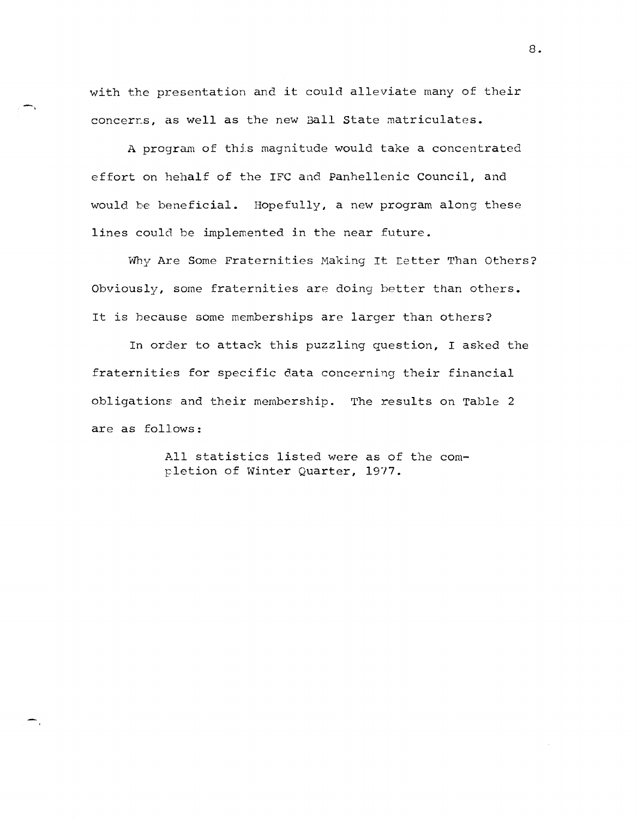with the presentation and it could alleviate many of their concerrs, as well as the new Ball State matriculates.

-,

A program of this magnitude would take a concentrated effort on hehalf of the IFC and Panhellenic Council, and would be beneficial. Hopefully, a new program along these lines could be implemented in the near future.

Why Are Some Fraternities Making It Letter Than Others? Obviously, some fraternities are doing better than others. It is because some memberships are larger than others?

In order to attack this puzzling question, I asked the fraternities for specific data concerning their financial obligations and their membership. The results on Table 2 are as follows:

> All statistics listed were as of the completion of Winter Quarter, 1917.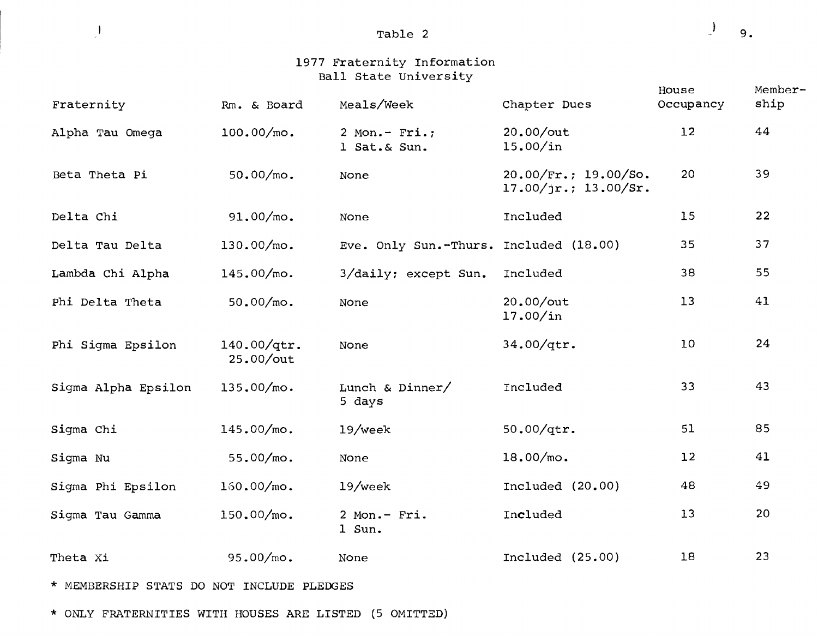Table 2

 $\begin{array}{c} \hline \end{array}$ 9.

# 1977 Fraternity Information Ball State University

| Fraternity          | Rm. & Board              | Meals/Week                             | Chapter Dues                                                    | House<br>Occupancy | Member-<br>ship |
|---------------------|--------------------------|----------------------------------------|-----------------------------------------------------------------|--------------------|-----------------|
| Alpha Tau Omega     | $100.00/m$ o.            | $2$ Mon.- Fri.;<br>1 Sat. & Sun.       | 20.00/out<br>15.00/in                                           | 12                 | 44              |
| Beta Theta Pi       | 50.00/mo.                | None                                   | $20.00/\text{Fr.}; 19.00/\text{So.}$<br>$17.00/jr.$ ; 13.00/Sr. | 20                 | 39              |
| Delta Chi           | 91.00/mo.                | None                                   | Included                                                        | 15                 | 22              |
| Delta Tau Delta     | 130.00/mo.               | Eve. Only Sun.-Thurs. Included (18.00) |                                                                 | 35                 | 37              |
| Lambda Chi Alpha    | 145.00/mo.               | 3/daily; except Sun.                   | Included                                                        | 38                 | 55              |
| Phi Delta Theta     | 50.00/mo.                | None                                   | 20.00/out<br>17.00/in                                           | 13                 | 41              |
| Phi Sigma Epsilon   | 140.00/qtr.<br>25.00/out | None                                   | 34.00/qtr.                                                      | 10                 | 24              |
| Sigma Alpha Epsilon | 135.00/mo.               | Lunch & Dinner/<br>5 days              | Included                                                        | 33                 | 43              |
| Sigma Chi           | 145.00/mo.               | 19/week                                | 50.00/qtr.                                                      | 51                 | 85              |
| Sigma Nu            | 55.00/mo.                | None                                   | $18.00/mo$ .                                                    | 12                 | 41              |
| Sigma Phi Epsilon   | $150.00/m$ o.            | $19$ /week                             | Included $(20.00)$                                              | 48                 | 49              |
| Sigma Tau Gamma     | 150.00/mo.               | 2 Mon.- Fri.<br>1 Sun.                 | Included                                                        | 13                 | 20              |
| Theta Xi            | 95.00/mo.                | None                                   | Included (25.00)                                                | 18                 | 23              |
|                     |                          |                                        |                                                                 |                    |                 |

\* MEMBERSHIP STATS DO NOT INCLUDE PLEDGES

\* ONLY FRATERNITIES WITH HOUSES ARE LISTED (5 OMITTED)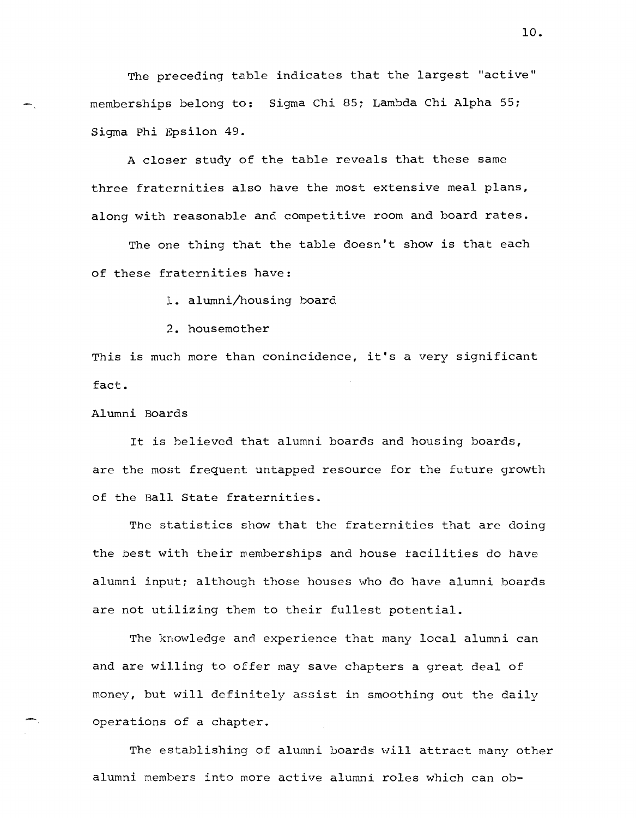The preceding table indicates that the largest "active" memberships belong to: Sigma Chi 85; Lambda Chi Alpha 55; Sigma Phi Bpsilon 49.

A closer study of the table reveals that these same three fraternities also have the most extensive meal plans, along with reasonable and competitive room and board rates.

The one thing that the table doesn't show is that each of these fraternities have:

1. alumni/housing board

2. housemother

This is much more than conincidence, it's a very significant fact.

Alumni Boards

It is believed that alumni boards and housing boards, are the most frequent untapped resource for the future growth of the Ball State fraternities.

The statistics show that the fraternities that are doing the best with their wemberships and house tacilities do have alumni input; although those houses who do have alumni boards are not utilizing them to their fullest potential.

The knowledge and experience that many local alumni can and are willing to offer may save chapters a great deal of money, but will definitely assist in smoothing out the daily operations of a chapter.

The establishing of alumni boards will attract many other alumni members into more active alumni roles which can ob-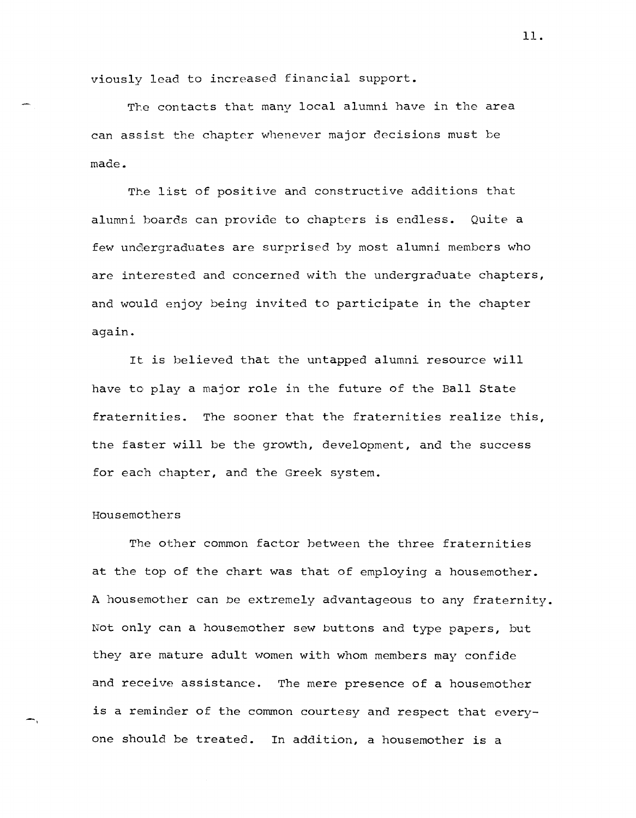viously lead to increased financial support.

The contacts that many local alumni have in the area can assist the chapter whenever major decisions must be made.

The list of positive and constructive additions that alumni boards can provide to chapters is endless. Quite a few undergraduates are surprised by most alumni members who are interested and concerned with the undergraduate chapters, and would enjoy being invited to participate in the chapter again.

It is believed that the untapped alumni resource will have to play a major role in the future of the Ball State fraternities. The sooner that the fraternities realize this, the faster will be the growth, development, and the success for each chapter, and the Greek system.

#### Housemothers

-,

The other common factor hetween the three fraternities at the top of the chart was that of employing a housemother. A housemother can be extremely advantageous to any fraternity. Not only can a housemother sew buttons and type papers, but they are mature adult women with whom members may confide and receive assistance. The mere presence of a housemother is a reminder of the common courtesy and respect that everyone should be treated. In addition, a housemother is a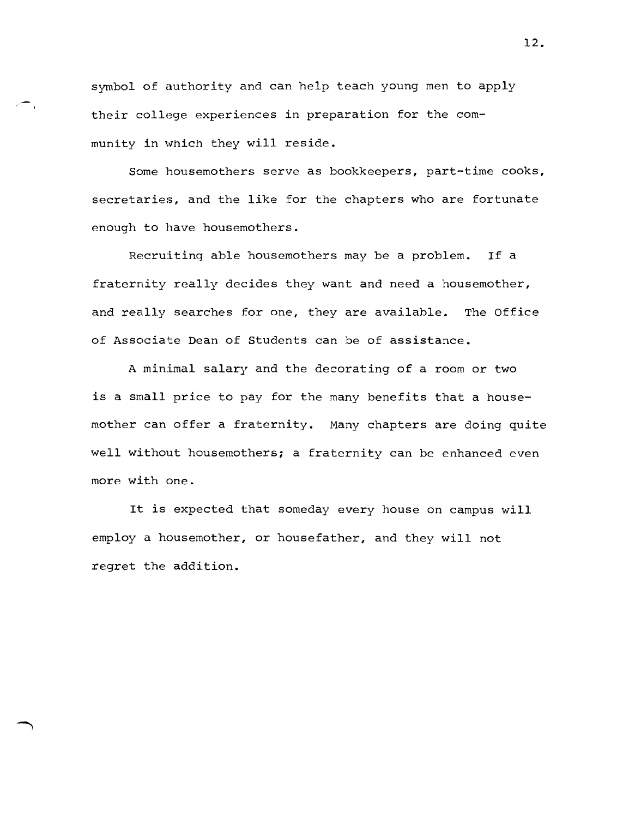symbol of authority and can help teach young men to apply their college experiences in preparation for the community in which they will reside.

Some housemothers serve as bookkeepers, part-time cooks, secretaries, and the like for the chapters who are fortunate enough to have housemothers.

Recruiting able housemothers may be a problem. If a fraternity really decides they want and need a housemother, and really searches for one, they are available. The Office of Associate Dean of Students can be of assistance.

A minimal salary and the decorating of a room or two is a small price to pay for the many benefits that a housemother can offer a fraternity. Many chapters are doing quite well without housemothers; a fraternity can be enhanced even more with one.

It is expected that someday every house on campus will employ a housemother, or housefather, and they will not regret the addition.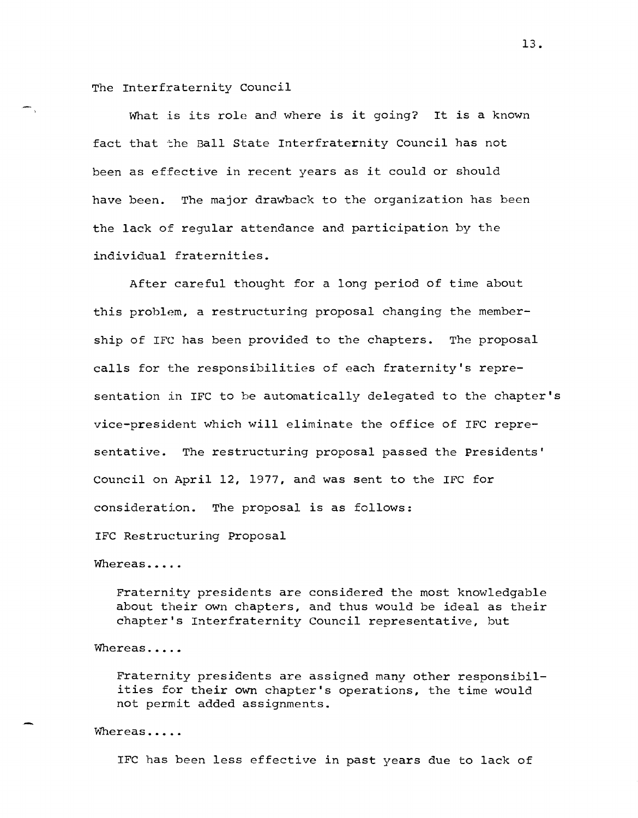The Interfraternity Council

What is its role and where is it going? It is a known fact that the Ball State Interfraternity Council has not been as effective in recent years as it could or should have been. The major drawback to the organization has been the lack of regular attendance and participation by the individual fraternities.

After careful thought for a long period of time about this problem, a restructuring proposal changing the membership of IFC has been provided to the chapters. The proposal calls for the responsibilities of each fraternity's representation in IFC to be automatically delegated to the chapter's vice-president which will eliminate the office of IFC representative. The restructuring proposal passed the Presidents' Council on April 12, 1977, and was sent to the IFC for consideration. The proposal is as follows:

IFC Restructuring Proposal

Whereas.....

Fraternity presidents are considered the most knowledgable about their own chapters, and thus would be ideal as their chapter's Interfraternity Council representative, but

Whereas.....

Fraternity presidents are assigned many other responsibilities for their own chapter's operations, the time would not permit added assignments.

Whereas.....

IFC has been less effective in past years due to lack of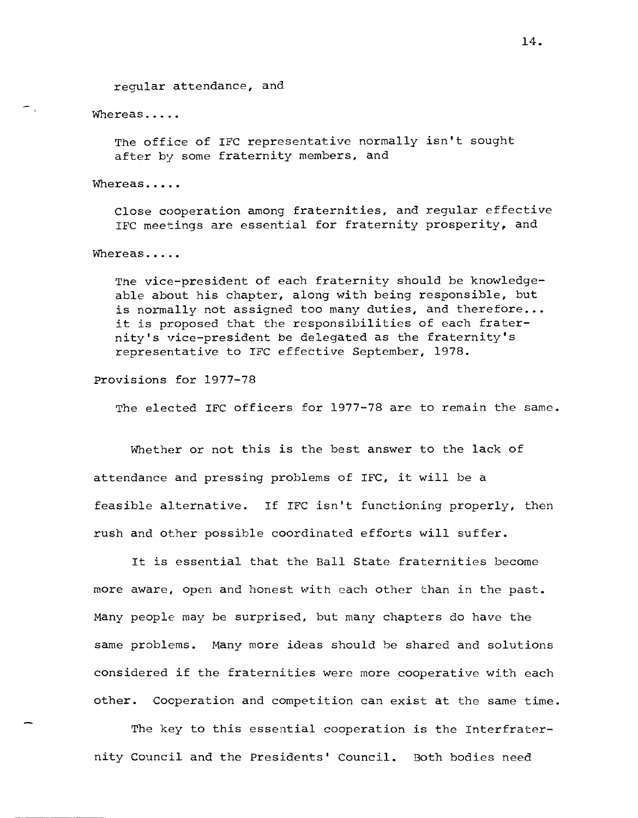regular attendance, and

Whereas.....

 $\overline{\phantom{a}}$ 

The office of IFC representative normally isn't sought after by some fraternity members, and

Whereas.....

Close cooperation among fraternities, and regular effective IFC meetings are essential for fraternity prosperity, and

Whereas.....

The vice-president of each fraternity should be knowledgeable about his chapter, along with being responsible, but is normally not assigned too many duties, and therefore... it is proposed that the responsibilities of each fraternity's vice-president be delegated as the fraternity's representative to IFC effective September, 1978.

Provisions for 1977-78

The elected IFC officers for 1977-78 are to remain the same.

Whether or not this is the best answer to the lack of attendance and pressing problems of IFC, it will be a feasible alternative. If IFC isn't functioning properly, then rush and other possible coordinated efforts will suffer.

It is essential that the Ball State fraternities become more aware, open and honest with each other than in the past. Many people may be surprised, but many chapters do have the same problems. Many more ideas should be shared and solutions considered if the fraternities were more cooperative with each other. Cooperation and competition can exist at the same time.

The key to this essential cooperation is the Interfraternity Council and the Presidents' Council. Both bodies need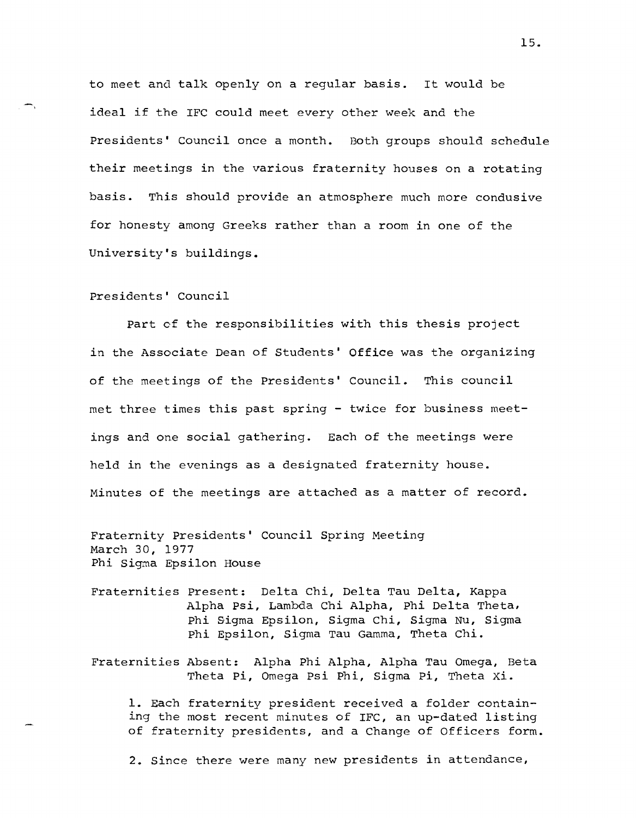to meet and talk openly on a regular basis. It would be ideal if the IFC could meet every other week and the Presidents' council once a month. Both groups should schedule their meetings in the various fraternity houses on a rotating basis. This should provide an atmosphere much more condusive for honesty among Greeks rather than a room in one of the University's buildings.

### Presidents' council

Part of the responsibilities with this thesis project in the Associate Dean of Students' Office was the organizing of the meetings of the Presidents' Council. This council met three times this past spring - twice for business meetings and one social gathering. Each of the meetings were held in the evenings as a designated fraternity house. Minutes of the meetings are attached as a matter of record.

Fraternity Presidents' Council Spring Meeting March 30, 1977 Phi Sigma Epsilon House

- Fraternities Present: Delta Chi, Delta Tau Delta, Kappa Alpha Psi, Lambda Chi Alpha, Phi Delta Theta, Phi Sigma Epsilon, Sigma chi, Sigma Nu, Sigma Phi Epsilon, Sigma Tau Gamma, Theta Chi.
- Fraternities Absent: Alpha Phi Alpha, Alpha Tau Omega, Beta Theta pi, Omega Psi Phi, Sigma Pi, Theta xi.

1. Each fraternity president received a folder containing the most recent minutes of IFC, an up-dated listing of fraternity presidents, and a Change of Officers form.

2. Since there were many new presidents in attendance,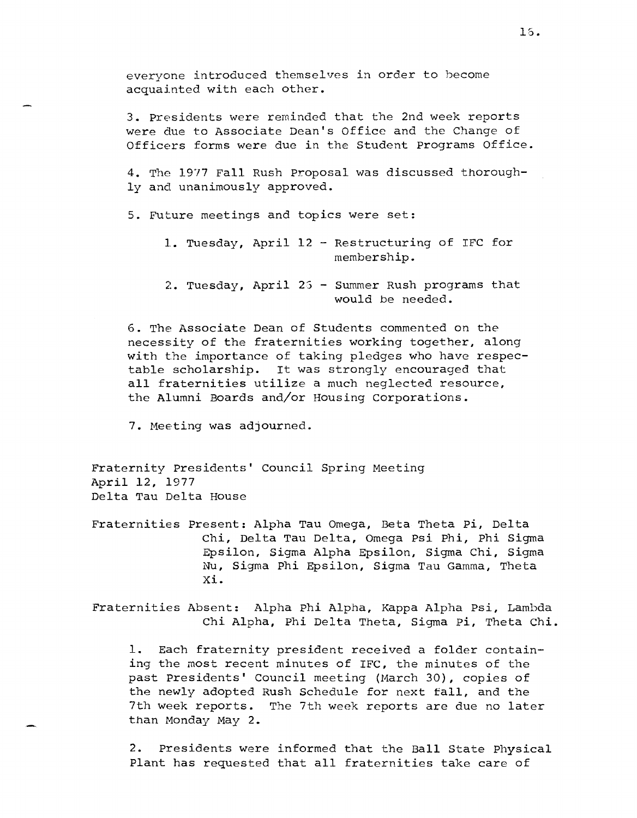everyone introduced themselves in order to hecome acquainted with each other.

3. Presidents were reminded that the 2nd week reports were due to Associate Dean's Office and the Change of Officers forms were due in the Student programs Office.

4. The 1977 Fall Rush proposal was discussed thoroughly and unanimously approved.

5. Future meetings and topics were set:

- 1. Tuesday, April 12 Restructuring of IFC for membership.
- 2. Tuesday, April 25 Summer Rush programs that would be needed.

6. The Associate Dean of Students commented on the necessity of the fraternities working together, along with the importance of taking pledges who have respectable scholarship. It was strongly encouraged that all fraternities utilize a much neglected resource, the Alumni Boards and/or Housing corporations.

7. Meeting was adjourned.

Fraternity Presidents' Council Spring Meeting April 12, 1977 Delta Tau Delta House

Fraternities Present: Alpha Tau Omega, Beta Theta pi, Delta Chi, Delta Tau Delta, Omega Psi Phi, Phi Sigma Epsilon, Sigma Alpha Epsilon, Sigma Chi, Sigma Nu, Sigma phi Epsilon, Sigma Tau Gamma, Theta Xi.

Fraternities Absent: Alpha phi Alpha, Kappa Alpha Psi, Lambda Chi Alpha, Phi Delta Theta, Sigma pi, Theta Chi.

1. Each fraternity president received a folder containing the most recent minutes of IFC, the minutes of the past Presidents' Council meeting (March 30), copies of the newly adopted Rush Schedule for next fall, and the 7th week reports. The 7th week reports are due no later than Monday May 2.

2. Presidents were informed that the Ball State Physical Plant has requested that all fraternities take care of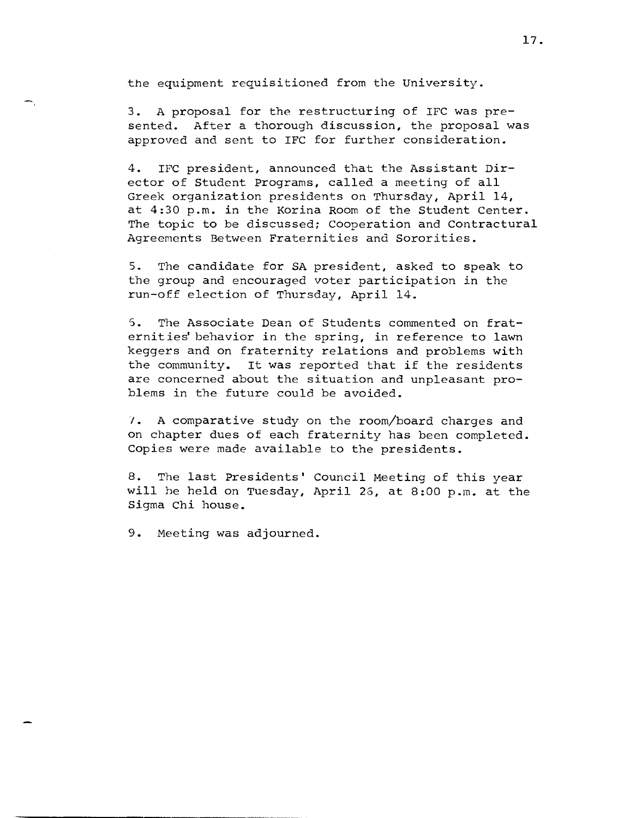the equipment requisitioned from the University.

3. A proposal for the restructuring of IFC was presented. After a thorough discussion, the proposal was approved and sent to IFC for further consideration.

4. IFC president, announced that the Assistant Director of Student Programs, called a meeting of all Greek organization presidents on Thursday, April 14, at 4:30 p.m. in the Korina Room of the Student Center. The topic to be discussed; Cooperation and Contractural Agreements Between Fraternities and Sororities.

5. The candidate for SA president, asked to speak to the group and encouraged voter participation in the run-off election of Thursday, April 14.

5. The Associate Dean of Students commented on fraternities' behavior in the spring, in reference to lawn keggers and on fraternity relations and problems with the community. It was reported that if the residents are concerned about the situation and unpleasant problems in the future could be avoided.

I. A comparative study on the room/board charges and on chapter dues of each fraternity has been completed. Copies were made available to the presidents.

8. The last Presidents' Council Meeting of this year will be held on Tuesday, April 26, at 8:00 p.m. at the Sigma Chi house.

9. Meeting was adjourned.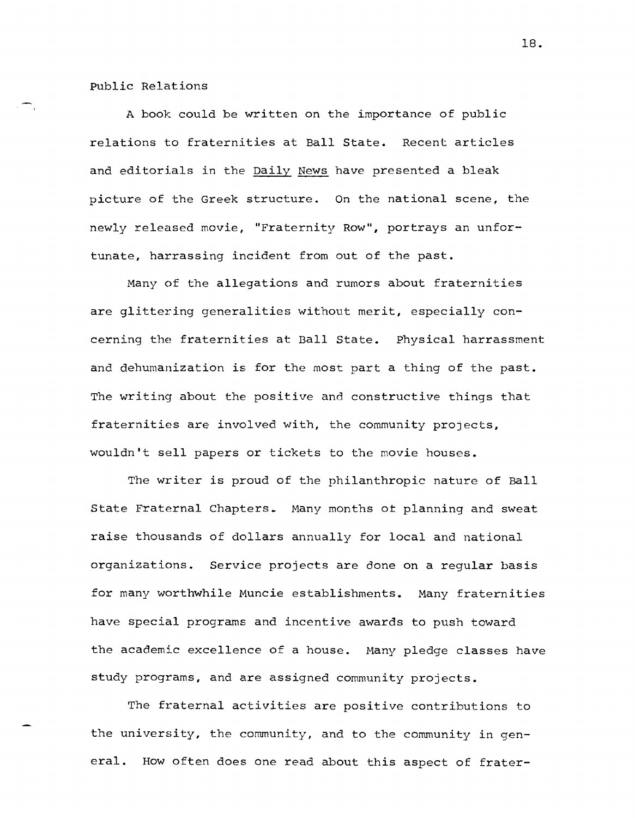Public Relations

A book could be written on the importance of public relations to fraternities at Ball State. Recent articles and editorials in the Daily News have presented a bleak picture of the Greek structure. On the national scene, the newly released movie, "Fraternity Row", portrays an unfortunate, harrassing incident from out of the past.

Many of the allegations and rumors about fraternities are glittering generalities without merit, especially concerning the fraternities at Ball State. Physical harrassment and dehumanization is for the most part a thing of the past. The writing about the positive and constructive things that fraternities are involved with, the community projects, wouldn't sell papers or tickets to the movie houses.

The writer is proud of the philanthropic nature of Ball State Fraternal Chapters. Many months ot planning and sweat raise thousands of dollars annually for local and national organizations. Service projects are done on a regular basis for many worthwhile Muncie establishments. Many fraternities have special programs and incentive awards to push toward the academic excellence of a house. Many pledge classes have study programs, and are assigned community projects.

The fraternal activities are positive contributions to the university, the community, and to the community in general. How often does one read about this aspect of frater-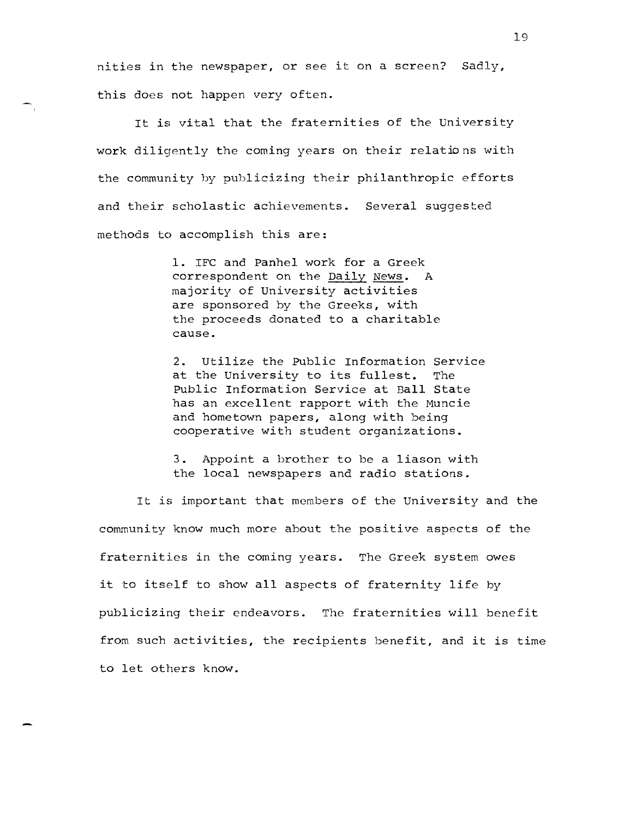nities in the newspaper, or see it on a screen? Sadly, this does not happen very often.

It is vital that the fraternities of the University work diligently the coming years on their relations with the community by publicizing their philanthropic efforts and their scholastic achievements. Several suggested methods to accomplish this are:

> 1. IFC and Panhel work for a Greek correspondent on the Daily News. A majority of University activities are sponsored by the Greeks, with the proceeds donated to a charitable cause.

2. Utilize the Public Information Service at the University to its fullest. The Public Information Service at Ball State has an excellent rapport with the Muncie and hometown papers, along with being cooperative with student organizations.

3. Appoint a brother to be a liason with the local newspapers and radio stations.

It is important that members of the University and the community know much more about the positive aspects of the fraternities in the coming years. The Greek system owes it to itself to show all aspects of fraternity life by publicizing their endeavors. The fraternities will benefit from such activities, the recipients benefit, and it is time to let others know.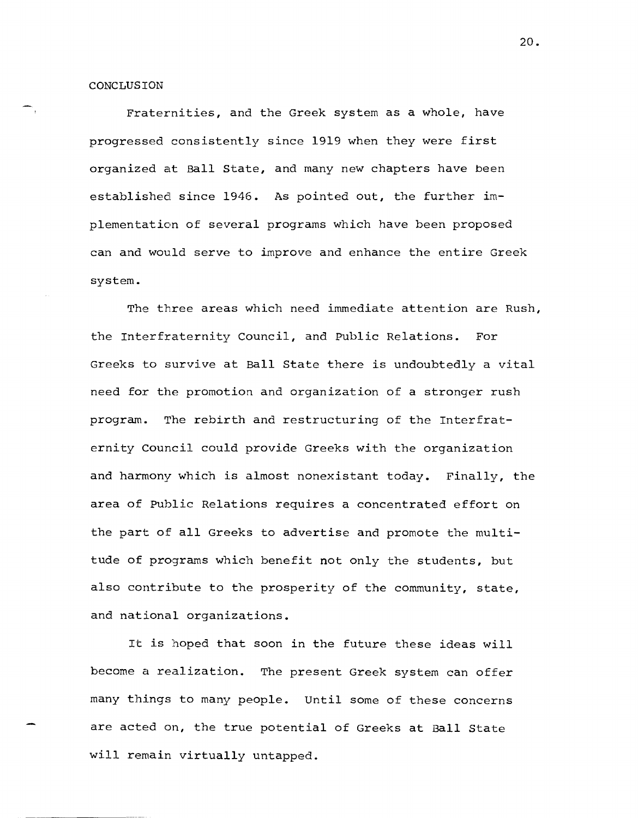CONCLUSION

Fraternities, and the Greek system as a whole, have progressed consistently since 1919 when they were first organized at Ball State, and many new chapters have been established since 1946. As pointed out, the further implementation of several programs which have been proposed can and would serve to improve and enhance the entire Greek system.

The three areas which need immediate attention are Rush, the Interfraternity Council, and Public Relations. For Greeks to survive at Ball State there is undoubtedly a vital need for the promotion and organization of a stronger rush program. The rebirth and restructuring of the Interfraternity Council could provide Greeks with the organization and harmony which is almost nonexistant today. Finally, the area of Public Relations requires a concentrated effort on the part of all Greeks to advertise and promote the multitude of programs which benefit not only the students, but also contribute to the prosperity of the community, state, and national organizations.

It is hoped that soon in the future these ideas will become a realization. The present Greek system can offer many things to many people. Until some of these concerns are acted on, the true potential of Greeks at Ball State will remain virtually untapped.